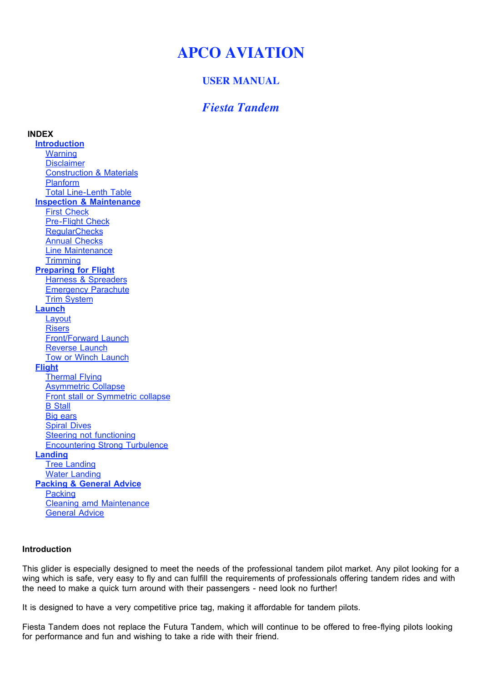# **APCO AVIATION**

# **USER MANUAL**

# *Fiesta Tandem*

**INDEX Introduction Warning Disclaimer** Construction & Materials Planform Total Line-Lenth Table **Inspection & Maintenance** First Check Pre-Flight Check **RegularChecks** Annual Checks Line Maintenance **Trimming Preparing for Flight** Harness & Spreaders Emergency Parachute Trim System **Launch Layout Risers** Front/Forward Launch Reverse Launch Tow or Winch Launch **Flight** Thermal Flying **Asymmetric Collapse** Front stall or Symmetric collapse B Stall Big ears Spiral Dives **Steering not functioning** Encountering Strong Turbulence **Landing Tree Landing** Water Landing **Packing & General Advice Packing** Cleaning amd Maintenance General Advice

## **Introduction**

This glider is especially designed to meet the needs of the professional tandem pilot market. Any pilot looking for a wing which is safe, very easy to fly and can fulfill the requirements of professionals offering tandem rides and with the need to make a quick turn around with their passengers - need look no further!

It is designed to have a very competitive price tag, making it affordable for tandem pilots.

Fiesta Tandem does not replace the Futura Tandem, which will continue to be offered to free-flying pilots looking for performance and fun and wishing to take a ride with their friend.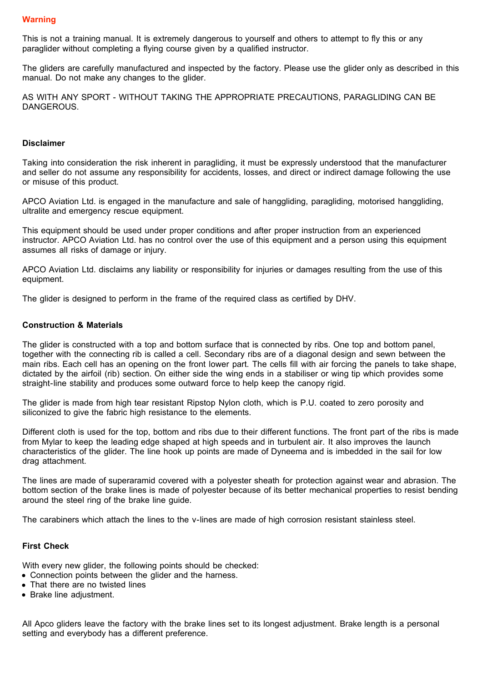This is not a training manual. It is extremely dangerous to yourself and others to attempt to fly this or any paraglider without completing a flying course given by a qualified instructor.

The gliders are carefully manufactured and inspected by the factory. Please use the glider only as described in this manual. Do not make any changes to the glider.

AS WITH ANY SPORT - WITHOUT TAKING THE APPROPRIATE PRECAUTIONS, PARAGLIDING CAN BE DANGEROUS.

#### **Disclaimer**

Taking into consideration the risk inherent in paragliding, it must be expressly understood that the manufacturer and seller do not assume any responsibility for accidents, losses, and direct or indirect damage following the use or misuse of this product.

APCO Aviation Ltd. is engaged in the manufacture and sale of hanggliding, paragliding, motorised hanggliding, ultralite and emergency rescue equipment.

This equipment should be used under proper conditions and after proper instruction from an experienced instructor. APCO Aviation Ltd. has no control over the use of this equipment and a person using this equipment assumes all risks of damage or injury.

APCO Aviation Ltd. disclaims any liability or responsibility for injuries or damages resulting from the use of this equipment.

The glider is designed to perform in the frame of the required class as certified by DHV.

#### **Construction & Materials**

The glider is constructed with a top and bottom surface that is connected by ribs. One top and bottom panel, together with the connecting rib is called a cell. Secondary ribs are of a diagonal design and sewn between the main ribs. Each cell has an opening on the front lower part. The cells fill with air forcing the panels to take shape, dictated by the airfoil (rib) section. On either side the wing ends in a stabiliser or wing tip which provides some straight-line stability and produces some outward force to help keep the canopy rigid.

The glider is made from high tear resistant Ripstop Nylon cloth, which is P.U. coated to zero porosity and siliconized to give the fabric high resistance to the elements.

Different cloth is used for the top, bottom and ribs due to their different functions. The front part of the ribs is made from Mylar to keep the leading edge shaped at high speeds and in turbulent air. It also improves the launch characteristics of the glider. The line hook up points are made of Dyneema and is imbedded in the sail for low drag attachment.

The lines are made of superaramid covered with a polyester sheath for protection against wear and abrasion. The bottom section of the brake lines is made of polyester because of its better mechanical properties to resist bending around the steel ring of the brake line guide.

The carabiners which attach the lines to the v-lines are made of high corrosion resistant stainless steel.

#### **First Check**

With every new glider, the following points should be checked:

- Connection points between the glider and the harness.
- That there are no twisted lines
- Brake line adjustment.

All Apco gliders leave the factory with the brake lines set to its longest adjustment. Brake length is a personal setting and everybody has a different preference.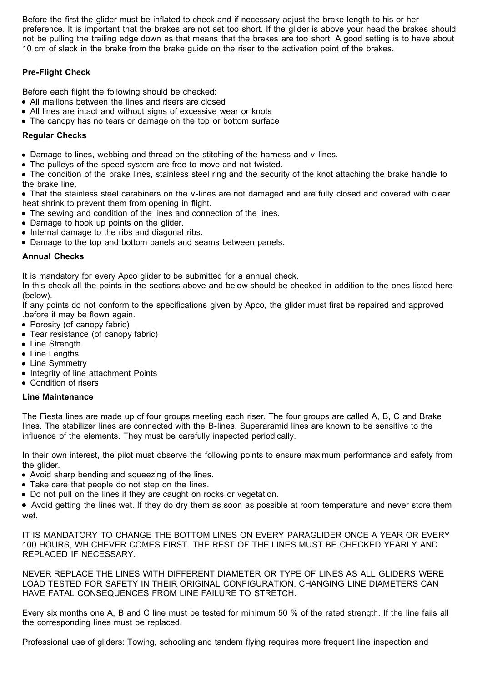Before the first the glider must be inflated to check and if necessary adjust the brake length to his or her preference. It is important that the brakes are not set too short. If the glider is above your head the brakes should not be pulling the trailing edge down as that means that the brakes are too short. A good setting is to have about 10 cm of slack in the brake from the brake guide on the riser to the activation point of the brakes.

# **Pre-Flight Check**

Before each flight the following should be checked:

- All maillons between the lines and risers are closed
- All lines are intact and without signs of excessive wear or knots
- The canopy has no tears or damage on the top or bottom surface

# **Regular Checks**

Damage to lines, webbing and thread on the stitching of the harness and v-lines.

The pulleys of the speed system are free to move and not twisted.

• The condition of the brake lines, stainless steel ring and the security of the knot attaching the brake handle to the brake line.

That the stainless steel carabiners on the v-lines are not damaged and are fully closed and covered with clear heat shrink to prevent them from opening in flight.

- The sewing and condition of the lines and connection of the lines.
- Damage to hook up points on the glider.
- Internal damage to the ribs and diagonal ribs.
- Damage to the top and bottom panels and seams between panels.

# **Annual Checks**

It is mandatory for every Apco glider to be submitted for a annual check.

In this check all the points in the sections above and below should be checked in addition to the ones listed here (below).

If any points do not conform to the specifications given by Apco, the glider must first be repaired and approved .before it may be flown again.

- Porosity (of canopy fabric)
- Tear resistance (of canopy fabric)
- Line Strength
- Line Lengths
- Line Symmetry
- Integrity of line attachment Points
- Condition of risers

# **Line Maintenance**

The Fiesta lines are made up of four groups meeting each riser. The four groups are called A, B, C and Brake lines. The stabilizer lines are connected with the B-lines. Superaramid lines are known to be sensitive to the influence of the elements. They must be carefully inspected periodically.

In their own interest, the pilot must observe the following points to ensure maximum performance and safety from the glider.

- Avoid sharp bending and squeezing of the lines.
- Take care that people do not step on the lines.
- Do not pull on the lines if they are caught on rocks or vegetation.

Avoid getting the lines wet. If they do dry them as soon as possible at room temperature and never store them wet.

IT IS MANDATORY TO CHANGE THE BOTTOM LINES ON EVERY PARAGLIDER ONCE A YEAR OR EVERY 100 HOURS, WHICHEVER COMES FIRST. THE REST OF THE LINES MUST BE CHECKED YEARLY AND REPLACED IF NECESSARY.

NEVER REPLACE THE LINES WITH DIFFERENT DIAMETER OR TYPE OF LINES AS ALL GLIDERS WERE LOAD TESTED FOR SAFETY IN THEIR ORIGINAL CONFIGURATION. CHANGING LINE DIAMETERS CAN HAVE FATAL CONSEQUENCES FROM LINE FAILURE TO STRETCH.

Every six months one A, B and C line must be tested for minimum 50 % of the rated strength. If the line fails all the corresponding lines must be replaced.

Professional use of gliders: Towing, schooling and tandem flying requires more frequent line inspection and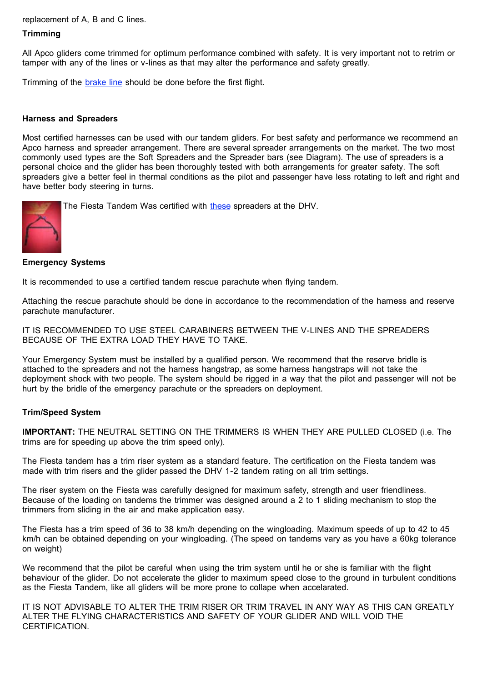replacement of A, B and C lines.

### **Trimming**

All Apco gliders come trimmed for optimum performance combined with safety. It is very important not to retrim or tamper with any of the lines or v-lines as that may alter the performance and safety greatly.

Trimming of the brake line should be done before the first flight.

#### **Harness and Spreaders**

Most certified harnesses can be used with our tandem gliders. For best safety and performance we recommend an Apco harness and spreader arrangement. There are several spreader arrangements on the market. The two most commonly used types are the Soft Spreaders and the Spreader bars (see Diagram). The use of spreaders is a personal choice and the glider has been thoroughly tested with both arrangements for greater safety. The soft spreaders give a better feel in thermal conditions as the pilot and passenger have less rotating to left and right and have better body steering in turns.

The Fiesta Tandem Was certified with these spreaders at the DHV.



#### **Emergency Systems**

It is recommended to use a certified tandem rescue parachute when flying tandem.

Attaching the rescue parachute should be done in accordance to the recommendation of the harness and reserve parachute manufacturer.

IT IS RECOMMENDED TO USE STEEL CARABINERS BETWEEN THE V-LINES AND THE SPREADERS BECAUSE OF THE EXTRA LOAD THEY HAVE TO TAKE.

Your Emergency System must be installed by a qualified person. We recommend that the reserve bridle is attached to the spreaders and not the harness hangstrap, as some harness hangstraps will not take the deployment shock with two people. The system should be rigged in a way that the pilot and passenger will not be hurt by the bridle of the emergency parachute or the spreaders on deployment.

## **Trim/Speed System**

**IMPORTANT:** THE NEUTRAL SETTING ON THE TRIMMERS IS WHEN THEY ARE PULLED CLOSED (i.e. The trims are for speeding up above the trim speed only).

The Fiesta tandem has a trim riser system as a standard feature. The certification on the Fiesta tandem was made with trim risers and the glider passed the DHV 1-2 tandem rating on all trim settings.

The riser system on the Fiesta was carefully designed for maximum safety, strength and user friendliness. Because of the loading on tandems the trimmer was designed around a 2 to 1 sliding mechanism to stop the trimmers from sliding in the air and make application easy.

The Fiesta has a trim speed of 36 to 38 km/h depending on the wingloading. Maximum speeds of up to 42 to 45 km/h can be obtained depending on your wingloading. (The speed on tandems vary as you have a 60kg tolerance on weight)

We recommend that the pilot be careful when using the trim system until he or she is familiar with the flight behaviour of the glider. Do not accelerate the glider to maximum speed close to the ground in turbulent conditions as the Fiesta Tandem, like all gliders will be more prone to collape when accelarated.

IT IS NOT ADVISABLE TO ALTER THE TRIM RISER OR TRIM TRAVEL IN ANY WAY AS THIS CAN GREATLY ALTER THE FLYING CHARACTERISTICS AND SAFETY OF YOUR GLIDER AND WILL VOID THE CERTIFICATION.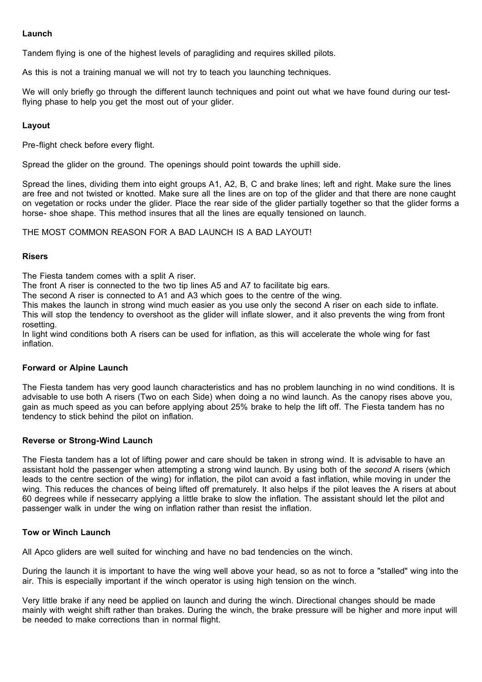## **Launch**

Tandem flying is one of the highest levels of paragliding and requires skilled pilots.

As this is not a training manual we will not try to teach you launching techniques.

We will only briefly go through the different launch techniques and point out what we have found during our testflying phase to help you get the most out of your glider.

## **Layout**

Pre-flight check before every flight.

Spread the glider on the ground. The openings should point towards the uphill side.

Spread the lines, dividing them into eight groups A1, A2, B, C and brake lines; left and right. Make sure the lines are free and not twisted or knotted. Make sure all the lines are on top of the glider and that there are none caught on vegetation or rocks under the glider. Place the rear side of the glider partially together so that the glider forms a horse- shoe shape. This method insures that all the lines are equally tensioned on launch.

THE MOST COMMON REASON FOR A BAD LAUNCH IS A BAD LAYOUT!

#### **Risers**

The Fiesta tandem comes with a split A riser.

The front A riser is connected to the two tip lines A5 and A7 to facilitate big ears.

The second A riser is connected to A1 and A3 which goes to the centre of the wing.

This makes the launch in strong wind much easier as you use only the second A riser on each side to inflate.

This will stop the tendency to overshoot as the glider will inflate slower, and it also prevents the wing from front rosetting.

In light wind conditions both A risers can be used for inflation, as this will accelerate the whole wing for fast inflation.

## **Forward or Alpine Launch**

The Fiesta tandem has very good launch characteristics and has no problem launching in no wind conditions. It is advisable to use both A risers (Two on each Side) when doing a no wind launch. As the canopy rises above you, gain as much speed as you can before applying about 25% brake to help the lift off. The Fiesta tandem has no tendency to stick behind the pilot on inflation.

## **Reverse or Strong-Wind Launch**

The Fiesta tandem has a lot of lifting power and care should be taken in strong wind. It is advisable to have an assistant hold the passenger when attempting a strong wind launch. By using both of the *second* A risers (which leads to the centre section of the wing) for inflation, the pilot can avoid a fast inflation, while moving in under the wing. This reduces the chances of being lifted off prematurely. It also helps if the pilot leaves the A risers at about 60 degrees while if nessecarry applying a little brake to slow the inflation. The assistant should let the pilot and passenger walk in under the wing on inflation rather than resist the inflation.

## **Tow or Winch Launch**

All Apco gliders are well suited for winching and have no bad tendencies on the winch.

During the launch it is important to have the wing well above your head, so as not to force a "stalled" wing into the air. This is especially important if the winch operator is using high tension on the winch.

Very little brake if any need be applied on launch and during the winch. Directional changes should be made mainly with weight shift rather than brakes. During the winch, the brake pressure will be higher and more input will be needed to make corrections than in normal flight.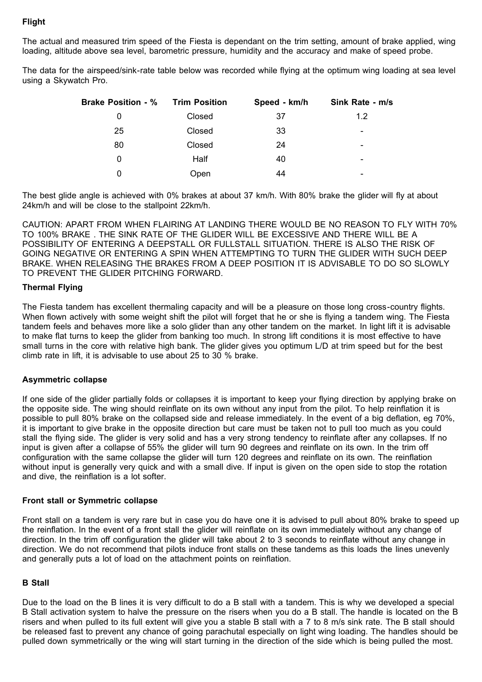# **Flight**

The actual and measured trim speed of the Fiesta is dependant on the trim setting, amount of brake applied, wing loading, altitude above sea level, barometric pressure, humidity and the accuracy and make of speed probe.

The data for the airspeed/sink-rate table below was recorded while flying at the optimum wing loading at sea level using a Skywatch Pro.

| <b>Brake Position - %</b> | <b>Trim Position</b> | Speed - km/h | Sink Rate - m/s          |
|---------------------------|----------------------|--------------|--------------------------|
| 0                         | Closed               | 37           | 1.2                      |
| 25                        | Closed               | 33           | -                        |
| 80                        | Closed               | 24           | -                        |
| 0                         | Half                 | 40           | $\overline{\phantom{0}}$ |
| 0                         | Open                 | 44           |                          |

The best glide angle is achieved with 0% brakes at about 37 km/h. With 80% brake the glider will fly at about 24km/h and will be close to the stallpoint 22km/h.

CAUTION: APART FROM WHEN FLAIRING AT LANDING THERE WOULD BE NO REASON TO FLY WITH 70% TO 100% BRAKE . THE SINK RATE OF THE GLIDER WILL BE EXCESSIVE AND THERE WILL BE A POSSIBILITY OF ENTERING A DEEPSTALL OR FULLSTALL SITUATION. THERE IS ALSO THE RISK OF GOING NEGATIVE OR ENTERING A SPIN WHEN ATTEMPTING TO TURN THE GLIDER WITH SUCH DEEP BRAKE. WHEN RELEASING THE BRAKES FROM A DEEP POSITION IT IS ADVISABLE TO DO SO SLOWLY TO PREVENT THE GLIDER PITCHING FORWARD.

# **Thermal Flying**

The Fiesta tandem has excellent thermaling capacity and will be a pleasure on those long cross-country flights. When flown actively with some weight shift the pilot will forget that he or she is flying a tandem wing. The Fiesta tandem feels and behaves more like a solo glider than any other tandem on the market. In light lift it is advisable to make flat turns to keep the glider from banking too much. In strong lift conditions it is most effective to have small turns in the core with relative high bank. The glider gives you optimum L/D at trim speed but for the best climb rate in lift, it is advisable to use about 25 to 30 % brake.

## **Asymmetric collapse**

If one side of the glider partially folds or collapses it is important to keep your flying direction by applying brake on the opposite side. The wing should reinflate on its own without any input from the pilot. To help reinflation it is possible to pull 80% brake on the collapsed side and release immediately. In the event of a big deflation, eg 70%, it is important to give brake in the opposite direction but care must be taken not to pull too much as you could stall the flying side. The glider is very solid and has a very strong tendency to reinflate after any collapses. If no input is given after a collapse of 55% the glider will turn 90 degrees and reinflate on its own. In the trim off configuration with the same collapse the glider will turn 120 degrees and reinflate on its own. The reinflation without input is generally very quick and with a small dive. If input is given on the open side to stop the rotation and dive, the reinflation is a lot softer.

## **Front stall or Symmetric collapse**

Front stall on a tandem is very rare but in case you do have one it is advised to pull about 80% brake to speed up the reinflation. In the event of a front stall the glider will reinflate on its own immediately without any change of direction. In the trim off configuration the glider will take about 2 to 3 seconds to reinflate without any change in direction. We do not recommend that pilots induce front stalls on these tandems as this loads the lines unevenly and generally puts a lot of load on the attachment points on reinflation.

## **B Stall**

Due to the load on the B lines it is very difficult to do a B stall with a tandem. This is why we developed a special B Stall activation system to halve the pressure on the risers when you do a B stall. The handle is located on the B risers and when pulled to its full extent will give you a stable B stall with a 7 to 8 m/s sink rate. The B stall should be released fast to prevent any chance of going parachutal especially on light wing loading. The handles should be pulled down symmetrically or the wing will start turning in the direction of the side which is being pulled the most.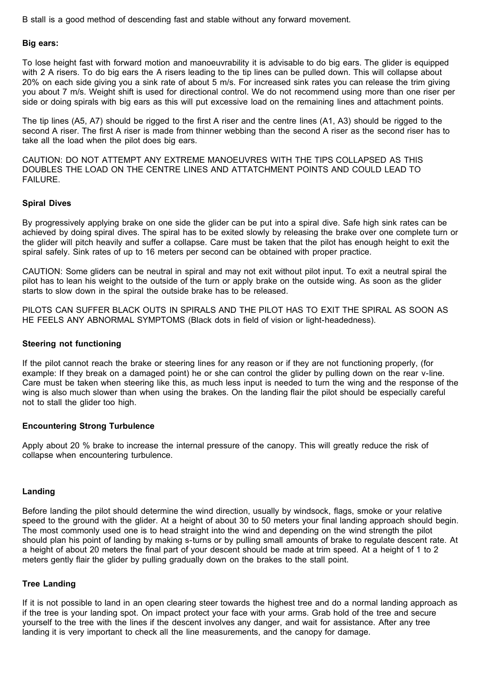B stall is a good method of descending fast and stable without any forward movement.

#### **Big ears:**

To lose height fast with forward motion and manoeuvrability it is advisable to do big ears. The glider is equipped with 2 A risers. To do big ears the A risers leading to the tip lines can be pulled down. This will collapse about 20% on each side giving you a sink rate of about 5 m/s. For increased sink rates you can release the trim giving you about 7 m/s. Weight shift is used for directional control. We do not recommend using more than one riser per side or doing spirals with big ears as this will put excessive load on the remaining lines and attachment points.

The tip lines (A5, A7) should be rigged to the first A riser and the centre lines (A1, A3) should be rigged to the second A riser. The first A riser is made from thinner webbing than the second A riser as the second riser has to take all the load when the pilot does big ears.

CAUTION: DO NOT ATTEMPT ANY EXTREME MANOEUVRES WITH THE TIPS COLLAPSED AS THIS DOUBLES THE LOAD ON THE CENTRE LINES AND ATTATCHMENT POINTS AND COULD LEAD TO FAILURE.

## **Spiral Dives**

By progressively applying brake on one side the glider can be put into a spiral dive. Safe high sink rates can be achieved by doing spiral dives. The spiral has to be exited slowly by releasing the brake over one complete turn or the glider will pitch heavily and suffer a collapse. Care must be taken that the pilot has enough height to exit the spiral safely. Sink rates of up to 16 meters per second can be obtained with proper practice.

CAUTION: Some gliders can be neutral in spiral and may not exit without pilot input. To exit a neutral spiral the pilot has to lean his weight to the outside of the turn or apply brake on the outside wing. As soon as the glider starts to slow down in the spiral the outside brake has to be released.

PILOTS CAN SUFFER BLACK OUTS IN SPIRALS AND THE PILOT HAS TO EXIT THE SPIRAL AS SOON AS HE FEELS ANY ABNORMAL SYMPTOMS (Black dots in field of vision or light-headedness).

#### **Steering not functioning**

If the pilot cannot reach the brake or steering lines for any reason or if they are not functioning properly, (for example: If they break on a damaged point) he or she can control the glider by pulling down on the rear v-line. Care must be taken when steering like this, as much less input is needed to turn the wing and the response of the wing is also much slower than when using the brakes. On the landing flair the pilot should be especially careful not to stall the glider too high.

## **Encountering Strong Turbulence**

Apply about 20 % brake to increase the internal pressure of the canopy. This will greatly reduce the risk of collapse when encountering turbulence.

## **Landing**

Before landing the pilot should determine the wind direction, usually by windsock, flags, smoke or your relative speed to the ground with the glider. At a height of about 30 to 50 meters your final landing approach should begin. The most commonly used one is to head straight into the wind and depending on the wind strength the pilot should plan his point of landing by making s-turns or by pulling small amounts of brake to regulate descent rate. At a height of about 20 meters the final part of your descent should be made at trim speed. At a height of 1 to 2 meters gently flair the glider by pulling gradually down on the brakes to the stall point.

#### **Tree Landing**

If it is not possible to land in an open clearing steer towards the highest tree and do a normal landing approach as if the tree is your landing spot. On impact protect your face with your arms. Grab hold of the tree and secure yourself to the tree with the lines if the descent involves any danger, and wait for assistance. After any tree landing it is very important to check all the line measurements, and the canopy for damage.